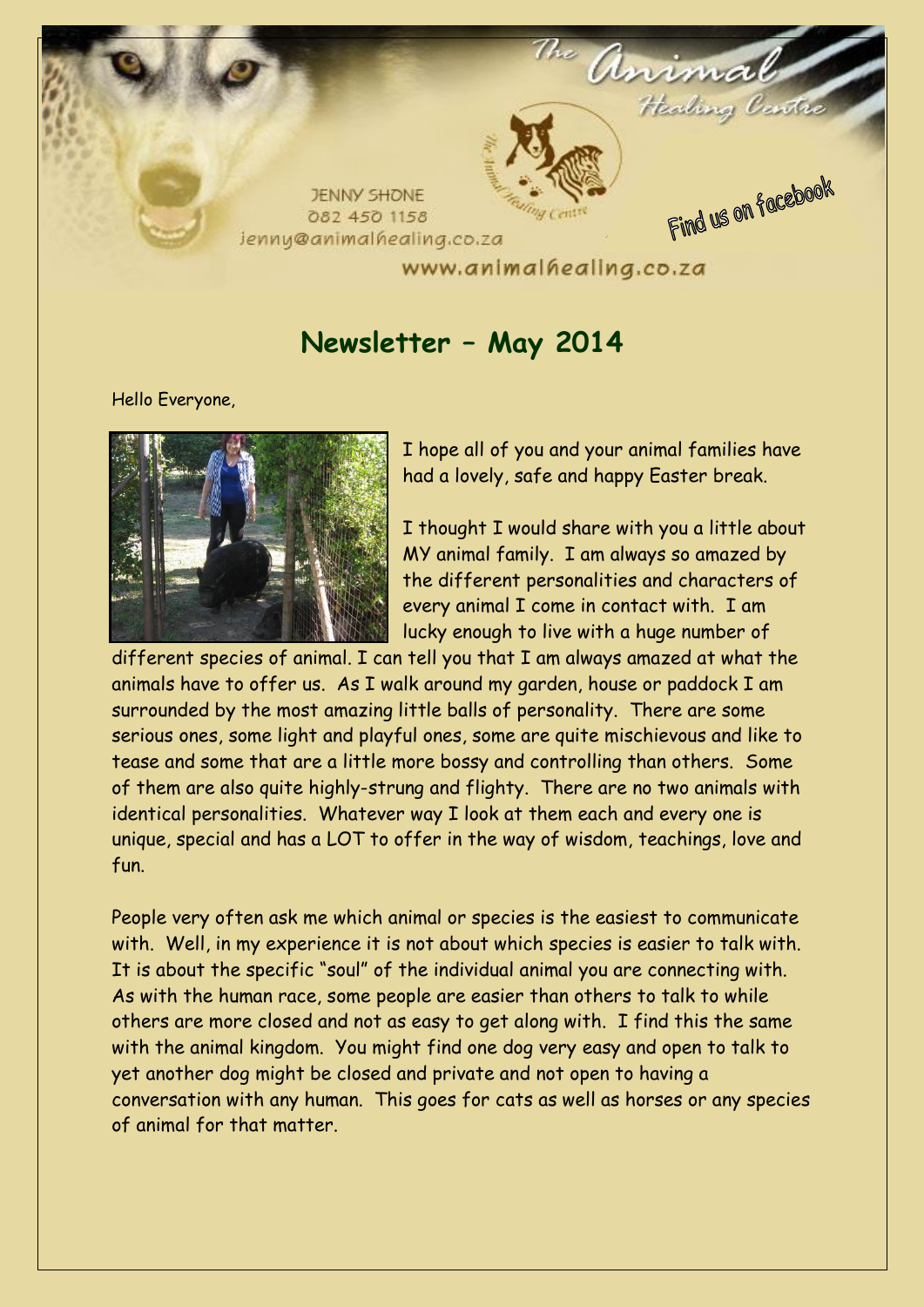

# **Newsletter – May 2014**

Hello Everyone,



I hope all of you and your animal families have had a lovely, safe and happy Easter break.

I thought I would share with you a little about MY animal family. I am always so amazed by the different personalities and characters of every animal I come in contact with. I am lucky enough to live with a huge number of

different species of animal. I can tell you that I am always amazed at what the animals have to offer us. As I walk around my garden, house or paddock I am surrounded by the most amazing little balls of personality. There are some serious ones, some light and playful ones, some are quite mischievous and like to tease and some that are a little more bossy and controlling than others. Some of them are also quite highly-strung and flighty. There are no two animals with identical personalities. Whatever way I look at them each and every one is unique, special and has a LOT to offer in the way of wisdom, teachings, love and fun.

People very often ask me which animal or species is the easiest to communicate with. Well, in my experience it is not about which species is easier to talk with. It is about the specific "soul" of the individual animal you are connecting with. As with the human race, some people are easier than others to talk to while others are more closed and not as easy to get along with. I find this the same with the animal kingdom. You might find one dog very easy and open to talk to yet another dog might be closed and private and not open to having a conversation with any human. This goes for cats as well as horses or any species of animal for that matter.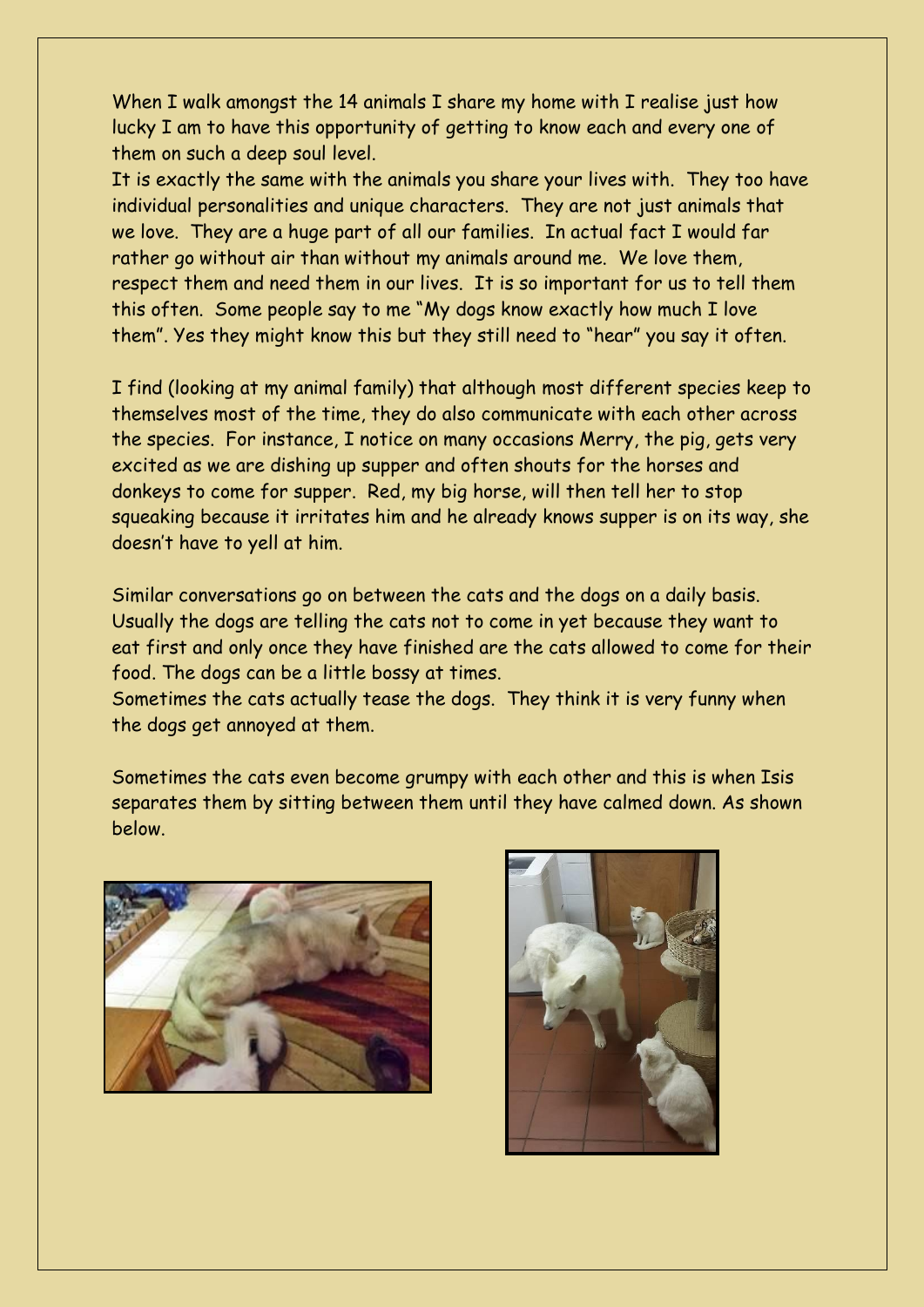When I walk amongst the 14 animals I share my home with I realise just how lucky I am to have this opportunity of getting to know each and every one of them on such a deep soul level.

It is exactly the same with the animals you share your lives with. They too have individual personalities and unique characters. They are not just animals that we love. They are a huge part of all our families. In actual fact I would far rather go without air than without my animals around me. We love them, respect them and need them in our lives. It is so important for us to tell them this often. Some people say to me "My dogs know exactly how much I love them". Yes they might know this but they still need to "hear" you say it often.

I find (looking at my animal family) that although most different species keep to themselves most of the time, they do also communicate with each other across the species. For instance, I notice on many occasions Merry, the pig, gets very excited as we are dishing up supper and often shouts for the horses and donkeys to come for supper. Red, my big horse, will then tell her to stop squeaking because it irritates him and he already knows supper is on its way, she doesn't have to yell at him.

Similar conversations go on between the cats and the dogs on a daily basis. Usually the dogs are telling the cats not to come in yet because they want to eat first and only once they have finished are the cats allowed to come for their food. The dogs can be a little bossy at times.

Sometimes the cats actually tease the dogs. They think it is very funny when the dogs get annoyed at them.

Sometimes the cats even become grumpy with each other and this is when Isis separates them by sitting between them until they have calmed down. As shown below.



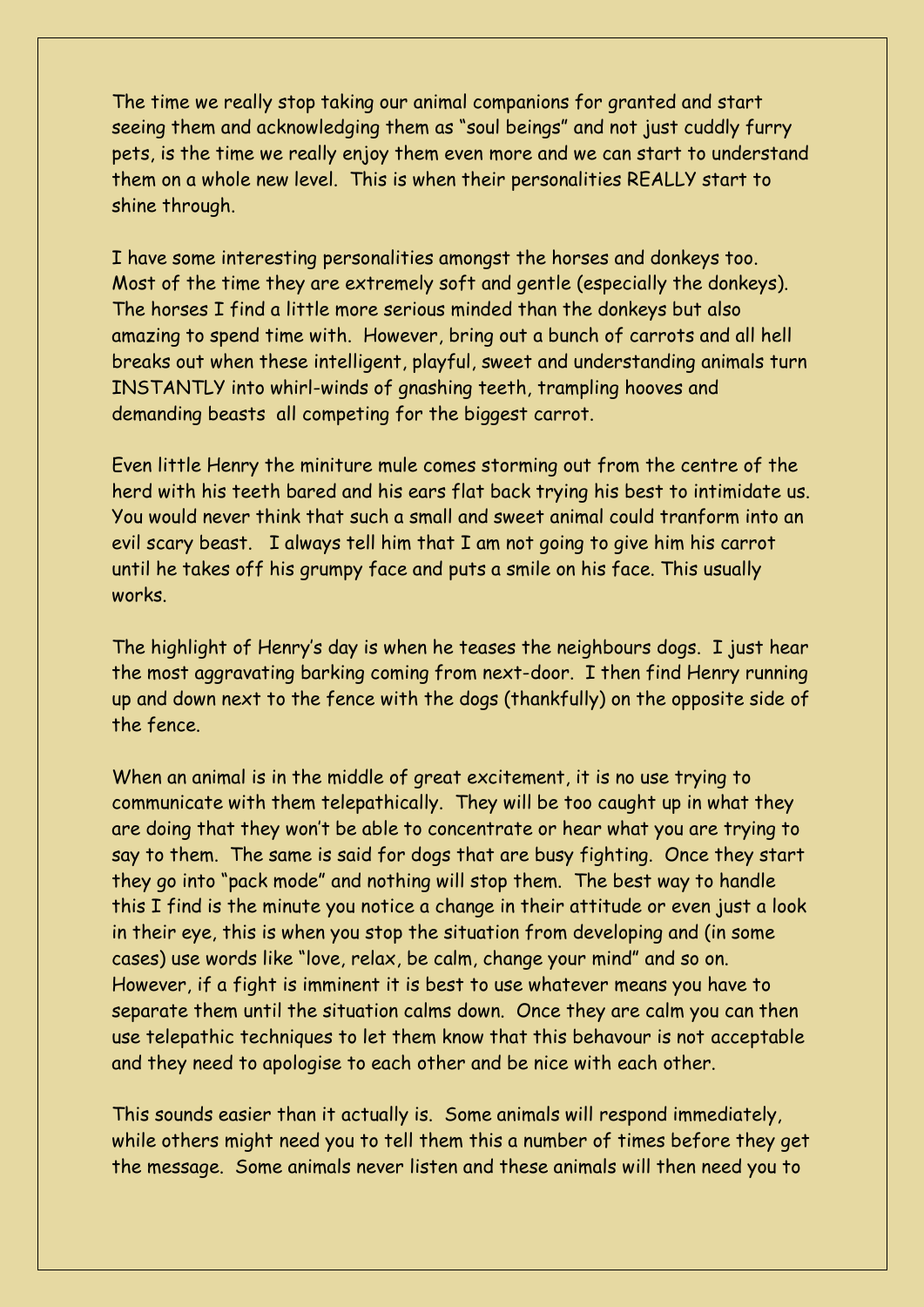The time we really stop taking our animal companions for granted and start seeing them and acknowledging them as "soul beings" and not just cuddly furry pets, is the time we really enjoy them even more and we can start to understand them on a whole new level. This is when their personalities REALLY start to shine through.

I have some interesting personalities amongst the horses and donkeys too. Most of the time they are extremely soft and gentle (especially the donkeys). The horses I find a little more serious minded than the donkeys but also amazing to spend time with. However, bring out a bunch of carrots and all hell breaks out when these intelligent, playful, sweet and understanding animals turn INSTANTLY into whirl-winds of gnashing teeth, trampling hooves and demanding beasts all competing for the biggest carrot.

Even little Henry the miniture mule comes storming out from the centre of the herd with his teeth bared and his ears flat back trying his best to intimidate us. You would never think that such a small and sweet animal could tranform into an evil scary beast. I always tell him that I am not going to give him his carrot until he takes off his grumpy face and puts a smile on his face. This usually works.

The highlight of Henry's day is when he teases the neighbours dogs. I just hear the most aggravating barking coming from next-door. I then find Henry running up and down next to the fence with the dogs (thankfully) on the opposite side of the fence.

When an animal is in the middle of great excitement, it is no use trying to communicate with them telepathically. They will be too caught up in what they are doing that they won't be able to concentrate or hear what you are trying to say to them. The same is said for dogs that are busy fighting. Once they start they go into "pack mode" and nothing will stop them. The best way to handle this I find is the minute you notice a change in their attitude or even just a look in their eye, this is when you stop the situation from developing and (in some cases) use words like "love, relax, be calm, change your mind" and so on. However, if a fight is imminent it is best to use whatever means you have to separate them until the situation calms down. Once they are calm you can then use telepathic techniques to let them know that this behavour is not acceptable and they need to apologise to each other and be nice with each other.

This sounds easier than it actually is. Some animals will respond immediately, while others might need you to tell them this a number of times before they get the message. Some animals never listen and these animals will then need you to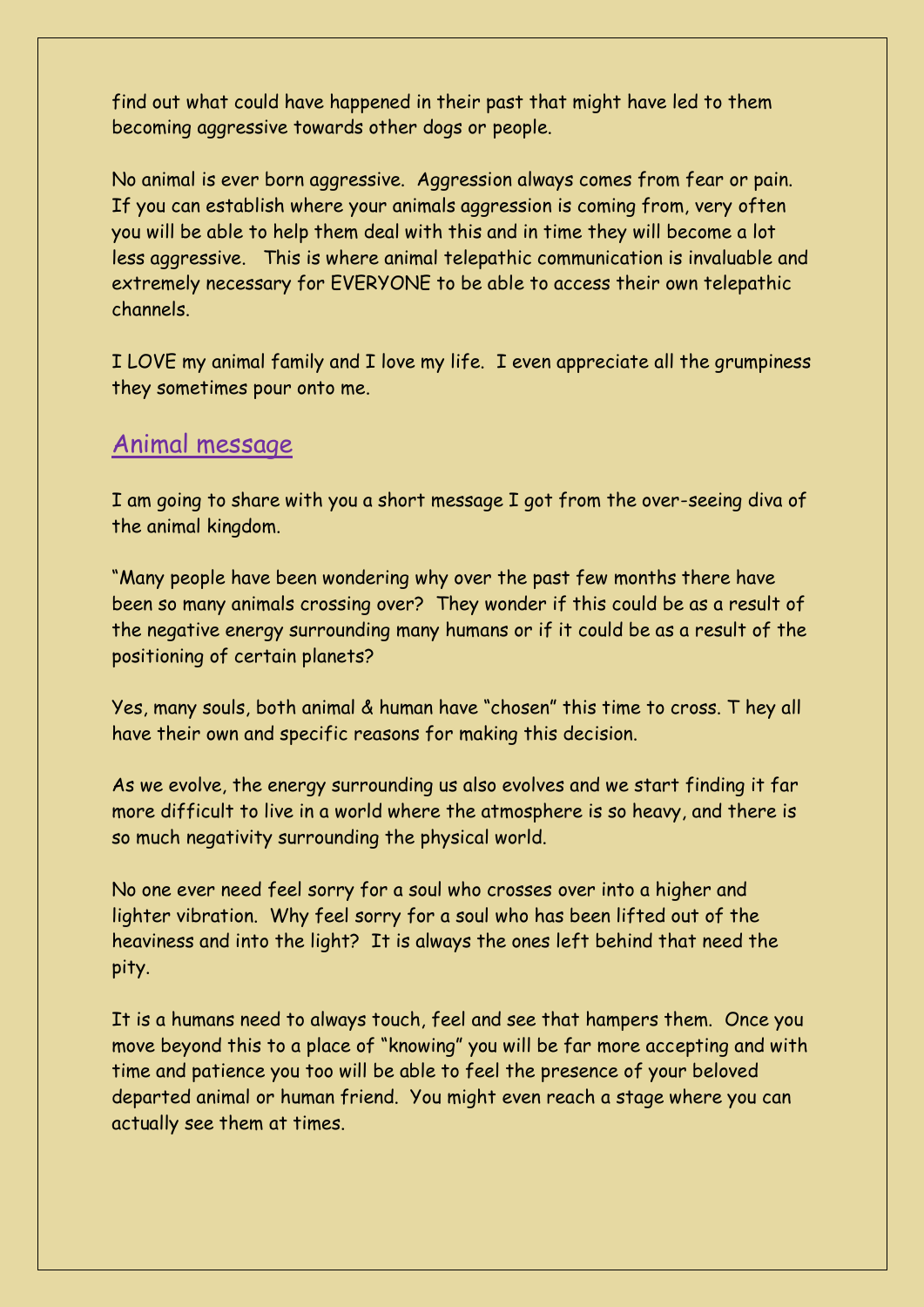find out what could have happened in their past that might have led to them becoming aggressive towards other dogs or people.

No animal is ever born aggressive. Aggression always comes from fear or pain. If you can establish where your animals aggression is coming from, very often you will be able to help them deal with this and in time they will become a lot less aggressive. This is where animal telepathic communication is invaluable and extremely necessary for EVERYONE to be able to access their own telepathic channels.

I LOVE my animal family and I love my life. I even appreciate all the grumpiness they sometimes pour onto me.

### Animal message

I am going to share with you a short message I got from the over-seeing diva of the animal kingdom.

"Many people have been wondering why over the past few months there have been so many animals crossing over? They wonder if this could be as a result of the negative energy surrounding many humans or if it could be as a result of the positioning of certain planets?

Yes, many souls, both animal & human have "chosen" this time to cross. T hey all have their own and specific reasons for making this decision.

As we evolve, the energy surrounding us also evolves and we start finding it far more difficult to live in a world where the atmosphere is so heavy, and there is so much negativity surrounding the physical world.

No one ever need feel sorry for a soul who crosses over into a higher and lighter vibration. Why feel sorry for a soul who has been lifted out of the heaviness and into the light? It is always the ones left behind that need the pity.

It is a humans need to always touch, feel and see that hampers them. Once you move beyond this to a place of "knowing" you will be far more accepting and with time and patience you too will be able to feel the presence of your beloved departed animal or human friend. You might even reach a stage where you can actually see them at times.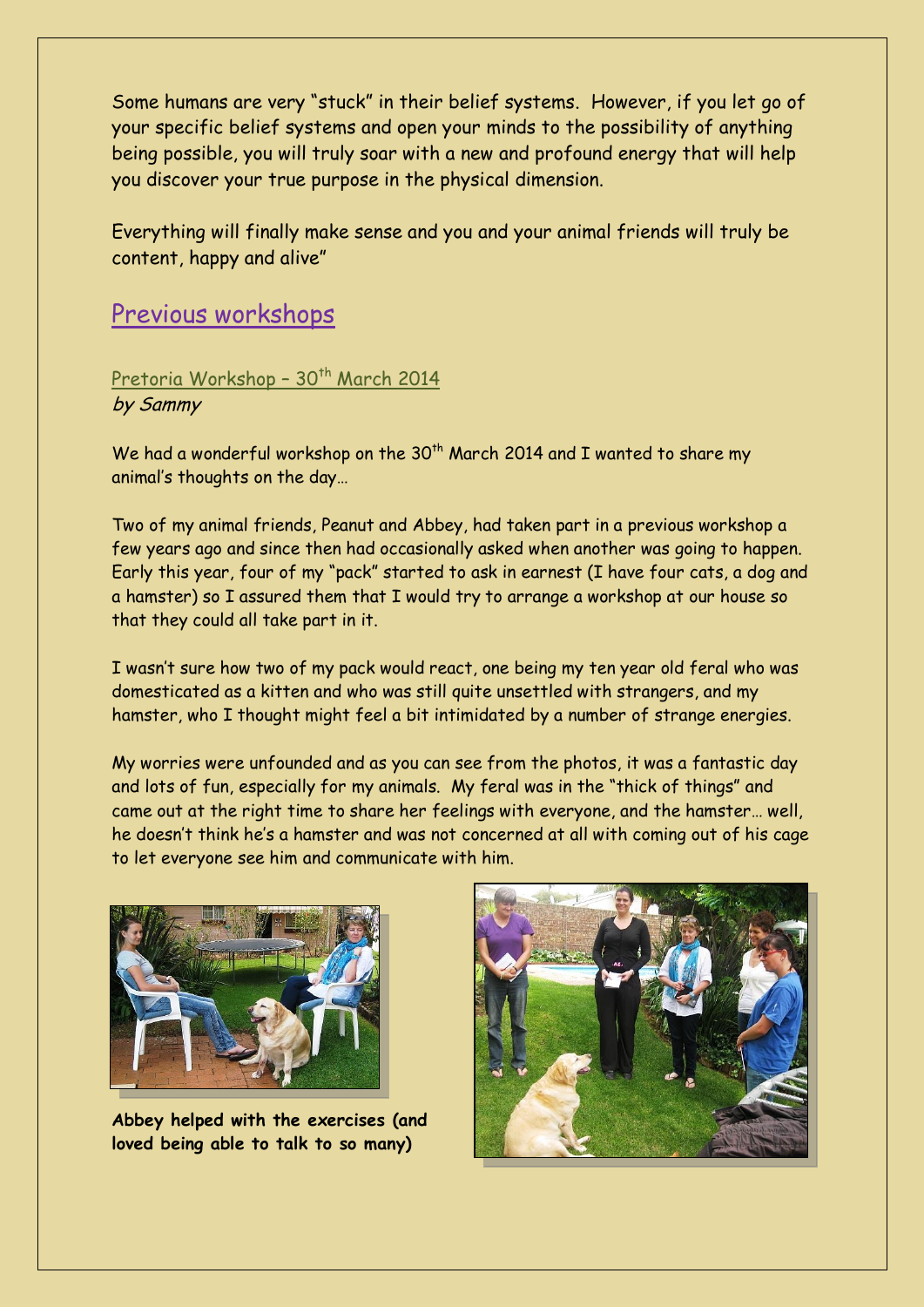Some humans are very "stuck" in their belief systems. However, if you let go of your specific belief systems and open your minds to the possibility of anything being possible, you will truly soar with a new and profound energy that will help you discover your true purpose in the physical dimension.

Everything will finally make sense and you and your animal friends will truly be content, happy and alive"

## Previous workshops

Pretoria Workshop - 30<sup>th</sup> March 2014 by Sammy

We had a wonderful workshop on the  $30<sup>th</sup>$  March 2014 and I wanted to share my animal's thoughts on the day…

Two of my animal friends, Peanut and Abbey, had taken part in a previous workshop a few years ago and since then had occasionally asked when another was going to happen. Early this year, four of my "pack" started to ask in earnest (I have four cats, a dog and a hamster) so I assured them that I would try to arrange a workshop at our house so that they could all take part in it.

I wasn't sure how two of my pack would react, one being my ten year old feral who was domesticated as a kitten and who was still quite unsettled with strangers, and my hamster, who I thought might feel a bit intimidated by a number of strange energies.

My worries were unfounded and as you can see from the photos, it was a fantastic day and lots of fun, especially for my animals. My feral was in the "thick of things" and came out at the right time to share her feelings with everyone, and the hamster… well, he doesn't think he's a hamster and was not concerned at all with coming out of his cage to let everyone see him and communicate with him.



**Abbey helped with the exercises (and loved being able to talk to so many)**

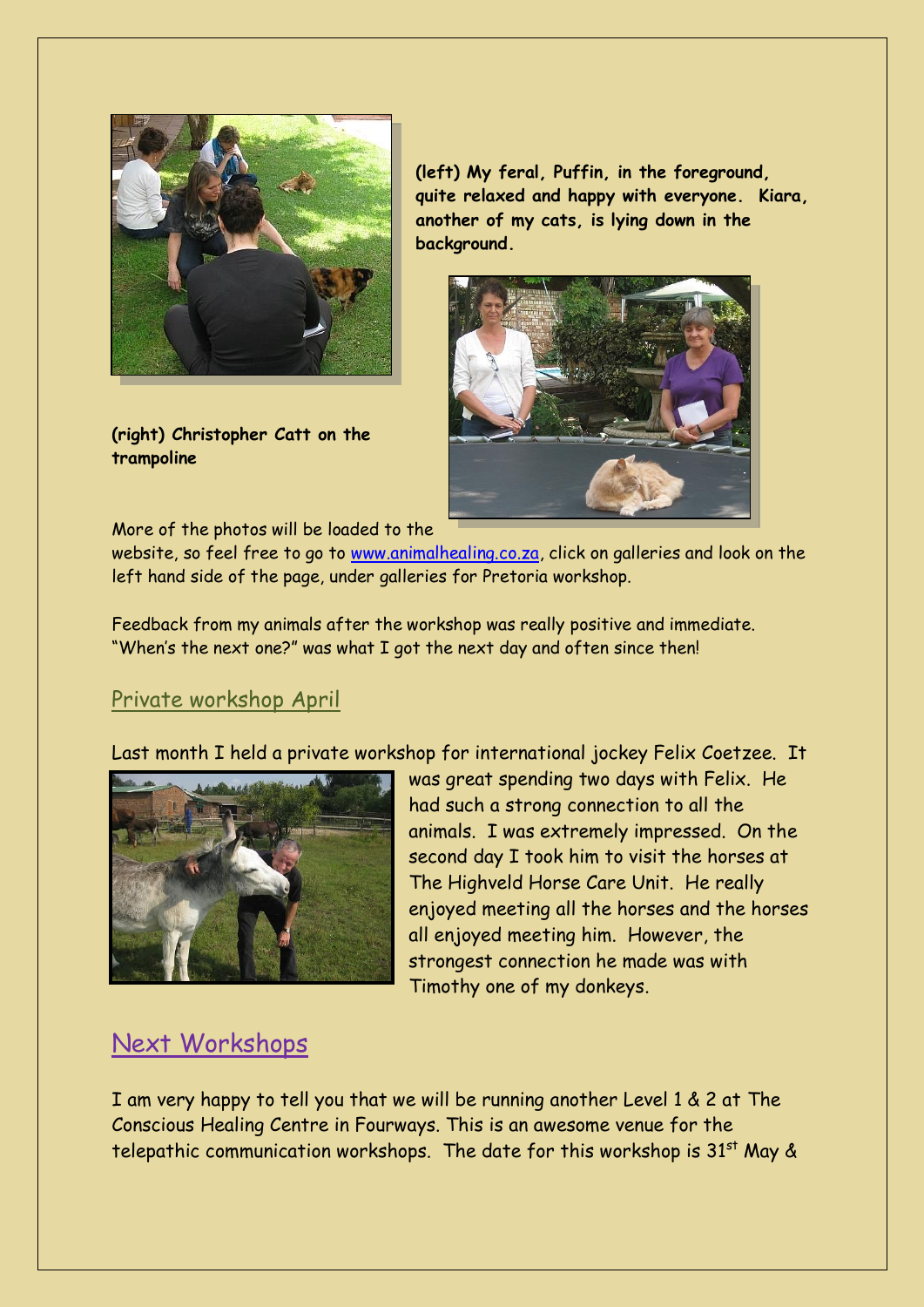

**(right) Christopher Catt on the trampoline**

**(left) My feral, Puffin, in the foreground, quite relaxed and happy with everyone. Kiara, another of my cats, is lying down in the background.**



More of the photos will be loaded to the

website, so feel free to go to [www.animalhealing.co.za,](http://www.animalhealing.co.za/) click on galleries and look on the left hand side of the page, under galleries for Pretoria workshop.

Feedback from my animals after the workshop was really positive and immediate. "When's the next one?" was what I got the next day and often since then!

### Private workshop April

Last month I held a private workshop for international jockey Felix Coetzee. It



was great spending two days with Felix. He had such a strong connection to all the animals. I was extremely impressed. On the second day I took him to visit the horses at The Highveld Horse Care Unit. He really enjoyed meeting all the horses and the horses all enjoyed meeting him. However, the strongest connection he made was with Timothy one of my donkeys.

## Next Workshops

I am very happy to tell you that we will be running another Level 1 & 2 at The Conscious Healing Centre in Fourways. This is an awesome venue for the telepathic communication workshops. The date for this workshop is  $31<sup>st</sup>$  May &